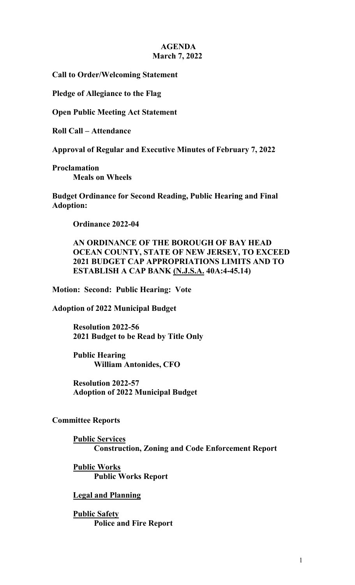### **AGENDA March 7, 2022**

**Call to Order/Welcoming Statement**

**Pledge of Allegiance to the Flag**

**Open Public Meeting Act Statement**

**Roll Call – Attendance**

**Approval of Regular and Executive Minutes of February 7, 2022**

**Proclamation Meals on Wheels**

**Budget Ordinance for Second Reading, Public Hearing and Final Adoption:**

**Ordinance 2022-04**

**AN ORDINANCE OF THE BOROUGH OF BAY HEAD OCEAN COUNTY, STATE OF NEW JERSEY, TO EXCEED 2021 BUDGET CAP APPROPRIATIONS LIMITS AND TO ESTABLISH A CAP BANK (N.J.S.A. 40A:4-45.14)**

**Motion: Second: Public Hearing: Vote**

**Adoption of 2022 Municipal Budget**

**Resolution 2022-56 2021 Budget to be Read by Title Only**

**Public Hearing William Antonides, CFO**

**Resolution 2022-57 Adoption of 2022 Municipal Budget**

# **Committee Reports**

**Public Services Construction, Zoning and Code Enforcement Report** 

**Public Works Public Works Report**

## **Legal and Planning**

**Public Safety Police and Fire Report**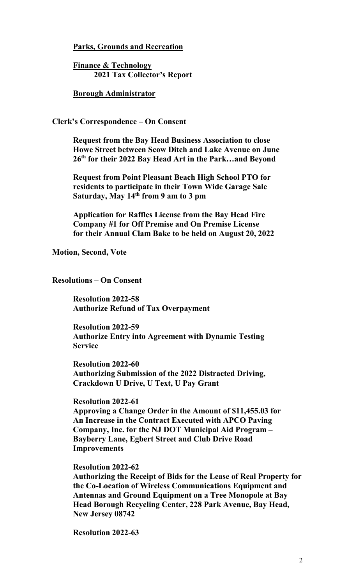## **Parks, Grounds and Recreation**

**Finance & Technology 2021 Tax Collector's Report**

### **Borough Administrator**

### **Clerk's Correspondence – On Consent**

**Request from the Bay Head Business Association to close Howe Street between Scow Ditch and Lake Avenue on June 26th for their 2022 Bay Head Art in the Park…and Beyond**

**Request from Point Pleasant Beach High School PTO for residents to participate in their Town Wide Garage Sale Saturday, May 14th from 9 am to 3 pm**

**Application for Raffles License from the Bay Head Fire Company #1 for Off Premise and On Premise License for their Annual Clam Bake to be held on August 20, 2022**

**Motion, Second, Vote**

### **Resolutions – On Consent**

**Resolution 2022-58 Authorize Refund of Tax Overpayment**

**Resolution 2022-59 Authorize Entry into Agreement with Dynamic Testing Service**

**Resolution 2022-60 Authorizing Submission of the 2022 Distracted Driving, Crackdown U Drive, U Text, U Pay Grant**

#### **Resolution 2022-61**

**Approving a Change Order in the Amount of \$11,455.03 for An Increase in the Contract Executed with APCO Paving Company, Inc. for the NJ DOT Municipal Aid Program – Bayberry Lane, Egbert Street and Club Drive Road Improvements**

#### **Resolution 2022-62**

**Authorizing the Receipt of Bids for the Lease of Real Property for the Co-Location of Wireless Communications Equipment and Antennas and Ground Equipment on a Tree Monopole at Bay Head Borough Recycling Center, 228 Park Avenue, Bay Head, New Jersey 08742**

**Resolution 2022-63**